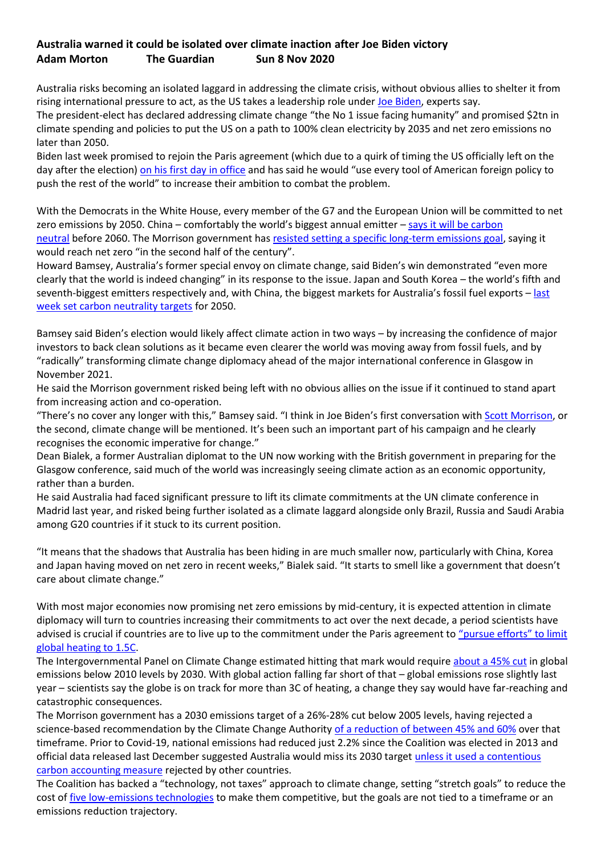## **Australia warned it could be isolated over climate inaction after Joe Biden victory Adam Morton The Guardian Sun 8 Nov 2020**

Australia risks becoming an isolated laggard in addressing the climate crisis, without obvious allies to shelter it from rising international pressure to act, as the US takes a leadership role under [Joe Biden,](https://www.theguardian.com/us-news/joebiden) experts say.

The president-elect has declared addressing climate change "the No 1 issue facing humanity" and promised \$2tn in climate spending and policies to put the US on a path to 100% clean electricity by 2035 and net zero emissions no later than 2050.

Biden last week promised to rejoin the Paris agreement (which due to a quirk of timing the US officially left on the day after the election) [on his first day in office](https://www.cbsnews.com/news/paris-climate-accord-biden-rejoin-president/) and has said he would "use every tool of American foreign policy to push the rest of the world" to increase their ambition to combat the problem.

With the Democrats in the White House, every member of the G7 and the European Union will be committed to net zero emissions by 2050. China – comfortably the world's biggest annual emitter – says it will be carbon [neutral](https://www.theguardian.com/world/2020/sep/24/chinas-surprise-climate-pledge-leaves-australia-naked-in-the-wind-analysts-say) before 2060. The Morrison government has [resisted setting a specific long-term emissions goal,](https://www.theguardian.com/australia-news/2020/sep/20/scott-morrison-refuses-to-commit-to-net-zero-emissions-target-by-2050) saying it would reach net zero "in the second half of the century".

Howard Bamsey, Australia's former special envoy on climate change, said Biden's win demonstrated "even more clearly that the world is indeed changing" in its response to the issue. Japan and South Korea – the world's fifth and seventh-biggest emitters respectively and, with China, the biggest markets for Australia's fossil fuel exports – last [week set carbon neutrality targets](https://www.theguardian.com/environment/2020/oct/31/net-zero-what-if-australia-misses-the-moment-on-climate-action) for 2050.

Bamsey said Biden's election would likely affect climate action in two ways – by increasing the confidence of major investors to back clean solutions as it became even clearer the world was moving away from fossil fuels, and by "radically" transforming climate change diplomacy ahead of the major international conference in Glasgow in November 2021.

He said the Morrison government risked being left with no obvious allies on the issue if it continued to stand apart from increasing action and co-operation.

"There's no cover any longer with this," Bamsey said. "I think in Joe Biden's first conversation with **Scott Morrison**, or the second, climate change will be mentioned. It's been such an important part of his campaign and he clearly recognises the economic imperative for change."

Dean Bialek, a former Australian diplomat to the UN now working with the British government in preparing for the Glasgow conference, said much of the world was increasingly seeing climate action as an economic opportunity, rather than a burden.

He said Australia had faced significant pressure to lift its climate commitments at the UN climate conference in Madrid last year, and risked being further isolated as a climate laggard alongside only Brazil, Russia and Saudi Arabia among G20 countries if it stuck to its current position.

"It means that the shadows that Australia has been hiding in are much smaller now, particularly with China, Korea and Japan having moved on net zero in recent weeks," Bialek said. "It starts to smell like a government that doesn't care about climate change."

With most major economies now promising net zero emissions by mid-century, it is expected attention in climate diplomacy will turn to countries increasing their commitments to act over the next decade, a period scientists have advised is crucial if countries are to live up to the commitment under the Paris agreement to "pursue efforts" to limit [global heating to 1.5C.](https://unfccc.int/files/meetings/paris_nov_2015/application/pdf/paris_agreement_english_.pdf)

The Intergovernmental Panel on Climate Change estimated hitting that mark would require [about a 45% cut](https://www.ipcc.ch/sr15/) in global emissions below 2010 levels by 2030. With global action falling far short of that – global emissions rose slightly last year – scientists say the globe is on track for more than 3C of heating, a change they say would have far-reaching and catastrophic consequences.

The Morrison government has a 2030 emissions target of a 26%-28% cut below 2005 levels, having rejected a science-based recommendation by the Climate Change Authority [of a reduction of between 45% and 60%](https://www.climatechangeauthority.gov.au/news/final-report-australias-future-emissions-reduction-targets) over that timeframe. Prior to Covid-19, national emissions had reduced just 2.2% since the Coalition was elected in 2013 and official data released last December suggested Australia would miss its 2030 target [unless it used a contentious](http://minister.industry.gov.au/ministers/taylor/media-releases/2019-emissions-projections-released#:~:text=The%20Australia%27s%20Emissions%20Projections%202019,Mt%20CO2-e).)  [carbon accounting measure](http://minister.industry.gov.au/ministers/taylor/media-releases/2019-emissions-projections-released#:~:text=The%20Australia%27s%20Emissions%20Projections%202019,Mt%20CO2-e).) rejected by other countries.

The Coalition has backed a "technology, not taxes" approach to climate change, setting "stretch goals" to reduce the cost of [five low-emissions technologies](https://www.theguardian.com/australia-news/2020/sep/22/morrisons-tech-roadmap-flags-more-investment-in-carbon-capture-and-storage) to make them competitive, but the goals are not tied to a timeframe or an emissions reduction trajectory.